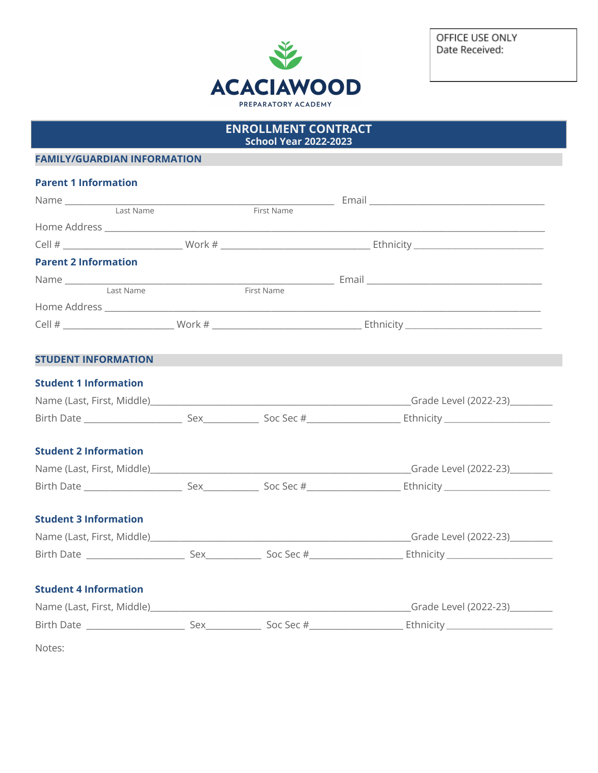

OFFICE USE ONLY Date Received:

| <b>ENROLLMENT CONTRACT</b><br><b>School Year 2022-2023</b> |  |  |  |  |
|------------------------------------------------------------|--|--|--|--|
| <b>FAMILY/GUARDIAN INFORMATION</b>                         |  |  |  |  |
| <b>Parent 1 Information</b>                                |  |  |  |  |
|                                                            |  |  |  |  |
|                                                            |  |  |  |  |
|                                                            |  |  |  |  |
|                                                            |  |  |  |  |
| <b>Parent 2 Information</b>                                |  |  |  |  |
|                                                            |  |  |  |  |
|                                                            |  |  |  |  |
|                                                            |  |  |  |  |
|                                                            |  |  |  |  |
|                                                            |  |  |  |  |
| <b>STUDENT INFORMATION</b>                                 |  |  |  |  |
| <b>Student 1 Information</b>                               |  |  |  |  |
|                                                            |  |  |  |  |
|                                                            |  |  |  |  |
|                                                            |  |  |  |  |
| <b>Student 2 Information</b>                               |  |  |  |  |
|                                                            |  |  |  |  |
|                                                            |  |  |  |  |
|                                                            |  |  |  |  |
| <b>Student 3 Information</b>                               |  |  |  |  |
|                                                            |  |  |  |  |
|                                                            |  |  |  |  |
|                                                            |  |  |  |  |
| <b>Student 4 Information</b>                               |  |  |  |  |
|                                                            |  |  |  |  |
|                                                            |  |  |  |  |
| Notes:                                                     |  |  |  |  |